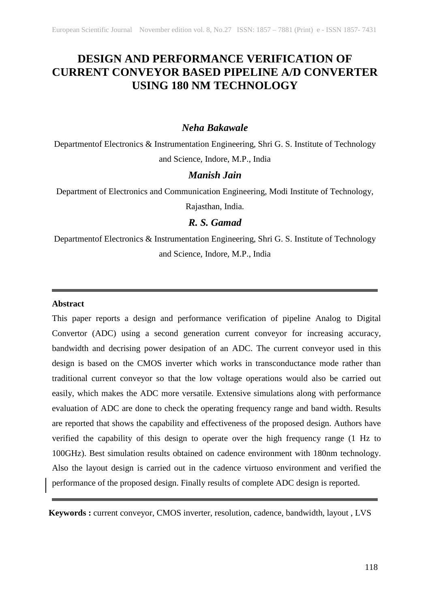# **DESIGN AND PERFORMANCE VERIFICATION OF CURRENT CONVEYOR BASED PIPELINE A/D CONVERTER USING 180 NM TECHNOLOGY**

## *Neha Bakawale*

Departmentof Electronics & Instrumentation Engineering, Shri G. S. Institute of Technology and Science, Indore, M.P., India

# *Manish Jain*

Department of Electronics and Communication Engineering, Modi Institute of Technology,

Rajasthan, India.

# *R. S. Gamad*

Departmentof Electronics & Instrumentation Engineering, Shri G. S. Institute of Technology and Science, Indore, M.P., India

#### **Abstract**

This paper reports a design and performance verification of pipeline Analog to Digital Convertor (ADC) using a second generation current conveyor for increasing accuracy, bandwidth and decrising power desipation of an ADC. The current conveyor used in this design is based on the CMOS inverter which works in transconductance mode rather than traditional current conveyor so that the low voltage operations would also be carried out easily, which makes the ADC more versatile. Extensive simulations along with performance evaluation of ADC are done to check the operating frequency range and band width. Results are reported that shows the capability and effectiveness of the proposed design. Authors have verified the capability of this design to operate over the high frequency range (1 Hz to 100GHz). Best simulation results obtained on cadence environment with 180nm technology. Also the layout design is carried out in the cadence virtuoso environment and verified the performance of the proposed design. Finally results of complete ADC design is reported.

**Keywords :** current conveyor, CMOS inverter, resolution, cadence, bandwidth, layout , LVS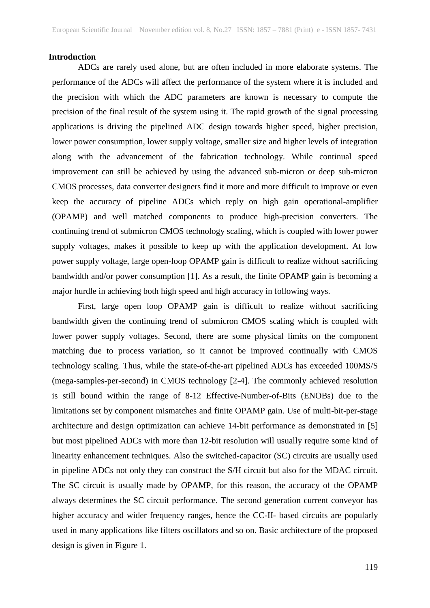#### **Introduction**

ADCs are rarely used alone, but are often included in more elaborate systems. The performance of the ADCs will affect the performance of the system where it is included and the precision with which the ADC parameters are known is necessary to compute the precision of the final result of the system using it. The rapid growth of the signal processing applications is driving the pipelined ADC design towards higher speed, higher precision, lower power consumption, lower supply voltage, smaller size and higher levels of integration along with the advancement of the fabrication technology. While continual speed improvement can still be achieved by using the advanced sub-micron or deep sub-micron CMOS processes, data converter designers find it more and more difficult to improve or even keep the accuracy of pipeline ADCs which reply on high gain operational-amplifier (OPAMP) and well matched components to produce high-precision converters. The continuing trend of submicron CMOS technology scaling, which is coupled with lower power supply voltages, makes it possible to keep up with the application development. At low power supply voltage, large open-loop OPAMP gain is difficult to realize without sacrificing bandwidth and/or power consumption [1]. As a result, the finite OPAMP gain is becoming a major hurdle in achieving both high speed and high accuracy in following ways.

First, large open loop OPAMP gain is difficult to realize without sacrificing bandwidth given the continuing trend of submicron CMOS scaling which is coupled with lower power supply voltages. Second, there are some physical limits on the component matching due to process variation, so it cannot be improved continually with CMOS technology scaling. Thus, while the state-of-the-art pipelined ADCs has exceeded 100MS/S (mega-samples-per-second) in CMOS technology [2-4]. The commonly achieved resolution is still bound within the range of 8-12 Effective-Number-of-Bits (ENOBs) due to the limitations set by component mismatches and finite OPAMP gain. Use of multi-bit-per-stage architecture and design optimization can achieve 14-bit performance as demonstrated in [5] but most pipelined ADCs with more than 12-bit resolution will usually require some kind of linearity enhancement techniques. Also the switched-capacitor (SC) circuits are usually used in pipeline ADCs not only they can construct the S/H circuit but also for the MDAC circuit. The SC circuit is usually made by OPAMP, for this reason, the accuracy of the OPAMP always determines the SC circuit performance. The second generation current conveyor has higher accuracy and wider frequency ranges, hence the CC-II- based circuits are popularly used in many applications like filters oscillators and so on. Basic architecture of the proposed design is given in Figure 1.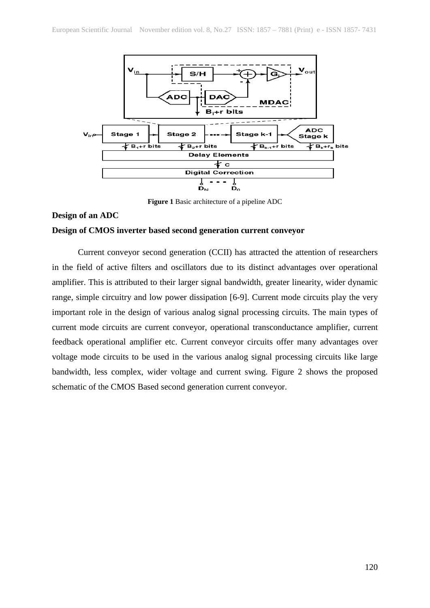

**Figure 1** Basic architecture of a pipeline ADC

## **Design of an ADC**

### **Design of CMOS inverter based second generation current conveyor**

Current conveyor second generation (CCII) has attracted the attention of researchers in the field of active filters and oscillators due to its distinct advantages over operational amplifier. This is attributed to their larger signal bandwidth, greater linearity, wider dynamic range, simple circuitry and low power dissipation [6-9]. Current mode circuits play the very important role in the design of various analog signal processing circuits. The main types of current mode circuits are current conveyor, operational transconductance amplifier, current feedback operational amplifier etc. Current conveyor circuits offer many advantages over voltage mode circuits to be used in the various analog signal processing circuits like large bandwidth, less complex, wider voltage and current swing. Figure 2 shows the proposed schematic of the CMOS Based second generation current conveyor.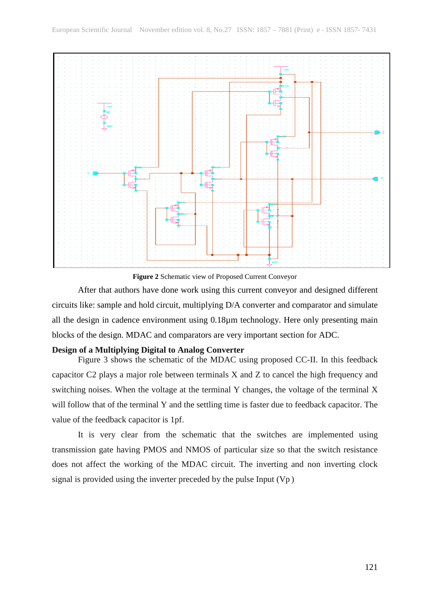

**Figure 2** Schematic view of Proposed Current Conveyor

After that authors have done work using this current conveyor and designed different circuits like: sample and hold circuit, multiplying D/A converter and comparator and simulate all the design in cadence environment using 0.18µm technology. Here only presenting main blocks of the design. MDAC and comparators are very important section for ADC.

## **Design of a Multiplying Digital to Analog Converter**

Figure 3 shows the schematic of the MDAC using proposed CC-II. In this feedback capacitor C2 plays a major role between terminals X and Z to cancel the high frequency and switching noises. When the voltage at the terminal Y changes, the voltage of the terminal X will follow that of the terminal Y and the settling time is faster due to feedback capacitor. The value of the feedback capacitor is 1pf.

It is very clear from the schematic that the switches are implemented using transmission gate having PMOS and NMOS of particular size so that the switch resistance does not affect the working of the MDAC circuit. The inverting and non inverting clock signal is provided using the inverter preceded by the pulse Input (Vp )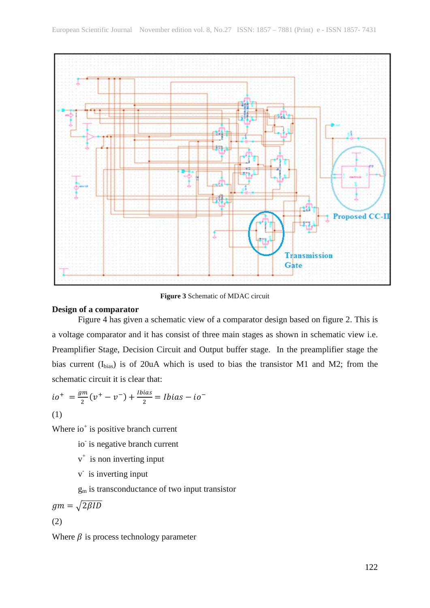

**Figure 3** Schematic of MDAC circuit

## **Design of a comparator**

Figure 4 has given a schematic view of a comparator design based on figure 2. This is a voltage comparator and it has consist of three main stages as shown in schematic view i.e. Preamplifier Stage, Decision Circuit and Output buffer stage. In the preamplifier stage the bias current  $(I_{bias})$  is of 20uA which is used to bias the transistor M1 and M2; from the schematic circuit it is clear that:

$$
io^{+} = \frac{gm}{2}(v^{+} - v^{-}) + \frac{Ibias}{2} = Ibias - io^{-}
$$
  
(1)

Where  $io<sup>+</sup>$  is positive branch current

- io is negative branch current
- $v^+$  is non inverting input
- v- is inverting input

gm is transconductance of two input transistor

$$
gm = \sqrt{2\beta ID}
$$

(2)

Where  $\beta$  is process technology parameter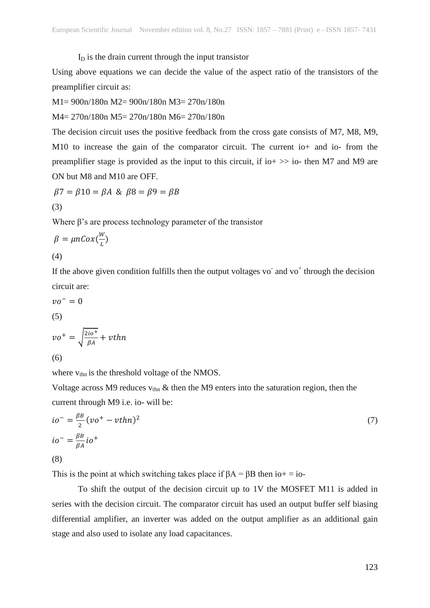$I<sub>D</sub>$  is the drain current through the input transistor

Using above equations we can decide the value of the aspect ratio of the transistors of the preamplifier circuit as:

M1= 900n/180n M2= 900n/180n M3= 270n/180n

M4= 270n/180n M5= 270n/180n M6= 270n/180n

The decision circuit uses the positive feedback from the cross gate consists of M7, M8, M9, M10 to increase the gain of the comparator circuit. The current io+ and io- from the preamplifier stage is provided as the input to this circuit, if io  $\gg$  io- then M7 and M9 are ON but M8 and M10 are OFF.

$$
\beta7 = \beta10 = \beta A \& \beta8 = \beta9 = \beta B
$$
  
(3)

Where  $\beta$ 's are process technology parameter of the transistor

$$
\beta = \mu nCox(\frac{w}{L})
$$
  
(4)

If the above given condition fulfills then the output voltages vo $\bar{a}$  and vo<sup>+</sup> through the decision circuit are:

$$
vo^- = 0
$$

$$
\left( 5\right)
$$

$$
vo^{+} = \sqrt{\frac{2io^{+}}{\beta A}} + \nu thn
$$
  
(6)

where  $v_{\text{thn}}$  is the threshold voltage of the NMOS.

Voltage across M9 reduces  $v_{\text{thn}}$  & then the M9 enters into the saturation region, then the current through M9 i.e. io- will be:

$$
io^{-} = \frac{\beta B}{2} (vo^{+} - vthn)^{2}
$$
  
\n
$$
io^{-} = \frac{\beta B}{\beta A} io^{+}
$$
  
\n(8)

This is the point at which switching takes place if  $\beta A = \beta B$  then io+ = io-

To shift the output of the decision circuit up to 1V the MOSFET M11 is added in series with the decision circuit. The comparator circuit has used an output buffer self biasing differential amplifier, an inverter was added on the output amplifier as an additional gain stage and also used to isolate any load capacitances.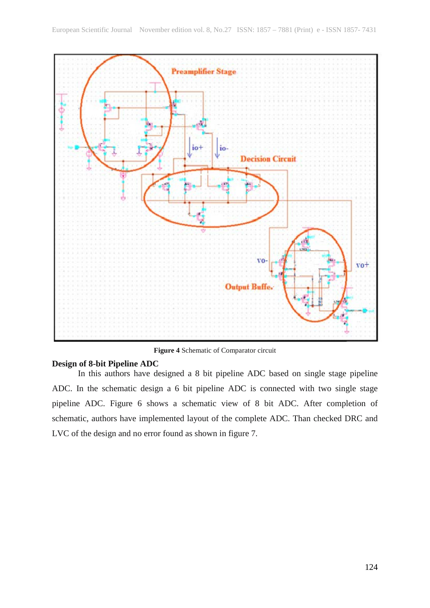

**Figure 4** Schematic of Comparator circuit

#### **Design of 8-bit Pipeline ADC**

In this authors have designed a 8 bit pipeline ADC based on single stage pipeline ADC. In the schematic design a 6 bit pipeline ADC is connected with two single stage pipeline ADC. Figure 6 shows a schematic view of 8 bit ADC. After completion of schematic, authors have implemented layout of the complete ADC. Than checked DRC and LVC of the design and no error found as shown in figure 7.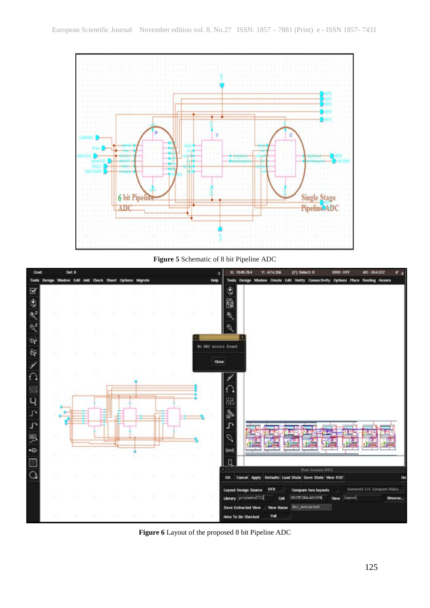

**Figure 5** Schematic of 8 bit Pipeline ADC



**Figure 6** Layout of the proposed 8 bit Pipeline ADC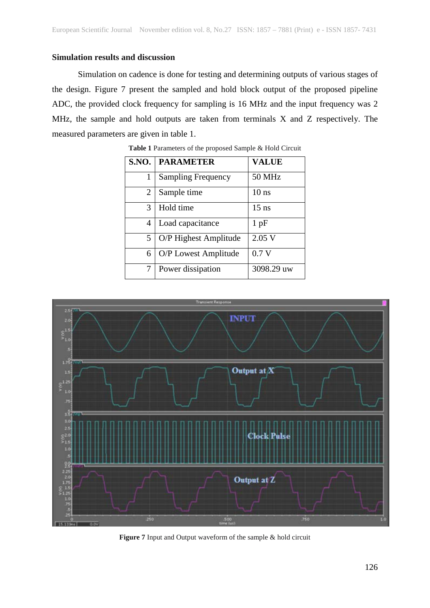## **Simulation results and discussion**

Simulation on cadence is done for testing and determining outputs of various stages of the design. Figure 7 present the sampled and hold block output of the proposed pipeline ADC, the provided clock frequency for sampling is 16 MHz and the input frequency was 2 MHz, the sample and hold outputs are taken from terminals X and Z respectively. The measured parameters are given in table 1.

| <b>S.NO.</b> | <b>PARAMETER</b>          | <b>VALUE</b>  |
|--------------|---------------------------|---------------|
|              | <b>Sampling Frequency</b> | <b>50 MHz</b> |
| 2            | Sample time               | $10$ ns       |
| 3            | Hold time                 | $15$ ns       |
| 4            | Load capacitance          | $1$ pF        |
| 5            | O/P Highest Amplitude     | 2.05 V        |
| 6            | O/P Lowest Amplitude      | 0.7V          |
| 7            | Power dissipation         | 3098.29 uw    |

**Table 1** Parameters of the proposed Sample & Hold Circuit



**Figure 7** Input and Output waveform of the sample & hold circuit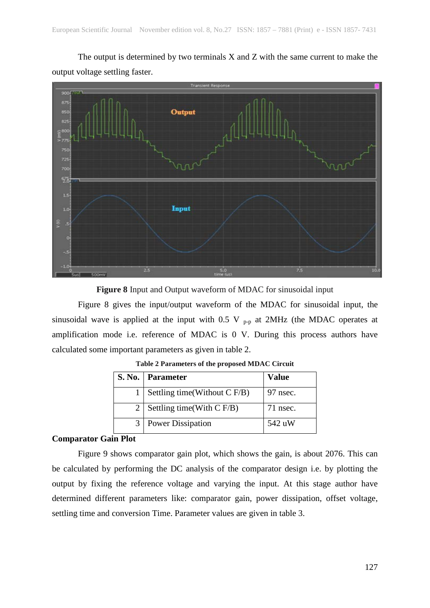The output is determined by two terminals X and Z with the same current to make the output voltage settling faster.



**Figure 8** Input and Output waveform of MDAC for sinusoidal input

Figure 8 gives the input/output waveform of the MDAC for sinusoidal input, the sinusoidal wave is applied at the input with  $0.5$  V  $_{p-p}$  at 2MHz (the MDAC operates at amplification mode i.e. reference of MDAC is 0 V. During this process authors have calculated some important parameters as given in table 2.

|   | S. No.   Parameter            | <b>Value</b> |
|---|-------------------------------|--------------|
|   | Settling time(Without C F/B)  | 97 nsec.     |
|   | 2   Settling time(With C F/B) | $71$ nsec.   |
| 3 | <b>Power Dissipation</b>      | 542 uW       |

**Table 2 Parameters of the proposed MDAC Circuit**

## **Comparator Gain Plot**

Figure 9 shows comparator gain plot, which shows the gain, is about 2076. This can be calculated by performing the DC analysis of the comparator design i.e. by plotting the output by fixing the reference voltage and varying the input. At this stage author have determined different parameters like: comparator gain, power dissipation, offset voltage, settling time and conversion Time. Parameter values are given in table 3.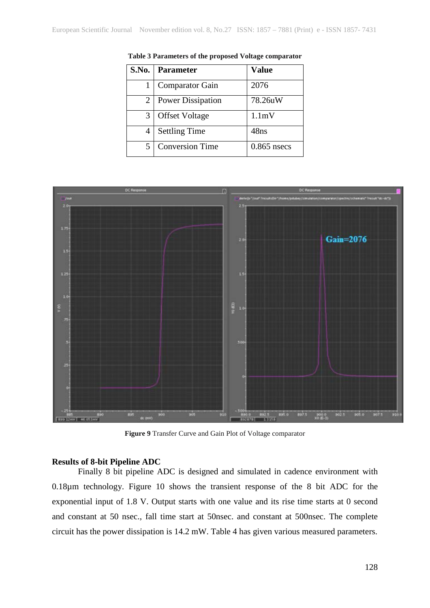| <b>S.No.</b> | <b>Parameter</b>         | <b>Value</b>  |
|--------------|--------------------------|---------------|
|              | <b>Comparator Gain</b>   | 2076          |
| 2            | <b>Power Dissipation</b> | 78.26uW       |
| 3            | <b>Offset Voltage</b>    | 1.1mV         |
|              | <b>Settling Time</b>     | 48ns          |
|              | <b>Conversion Time</b>   | $0.865$ nsecs |

**Table 3 Parameters of the proposed Voltage comparator**



**Figure 9** Transfer Curve and Gain Plot of Voltage comparator

## **Results of 8-bit Pipeline ADC**

Finally 8 bit pipeline ADC is designed and simulated in cadence environment with 0.18µm technology. Figure 10 shows the transient response of the 8 bit ADC for the exponential input of 1.8 V. Output starts with one value and its rise time starts at 0 second and constant at 50 nsec., fall time start at 50nsec. and constant at 500nsec. The complete circuit has the power dissipation is 14.2 mW. Table 4 has given various measured parameters.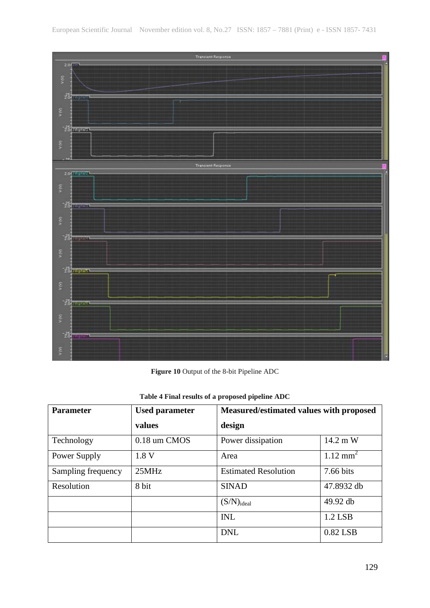

**Figure 10** Output of the 8-bit Pipeline ADC

| <b>Parameter</b>   | <b>Used parameter</b> | Measured/estimated values with proposed |                     |
|--------------------|-----------------------|-----------------------------------------|---------------------|
|                    | values                | design                                  |                     |
| Technology         | 0.18 um CMOS          | Power dissipation                       | 14.2 m W            |
| Power Supply       | 1.8V                  | Area                                    | $1.12 \text{ mm}^2$ |
| Sampling frequency | 25MHz                 | <b>Estimated Resolution</b>             | 7.66 bits           |
| Resolution         | 8 bit                 | <b>SINAD</b>                            | 47.8932 db          |
|                    |                       | $(S/N)_{ideal}$                         | 49.92 db            |
|                    |                       | <b>INL</b>                              | 1.2 LSB             |
|                    |                       | <b>DNL</b>                              | 0.82 LSB            |

**Table 4 Final results of a proposed pipeline ADC**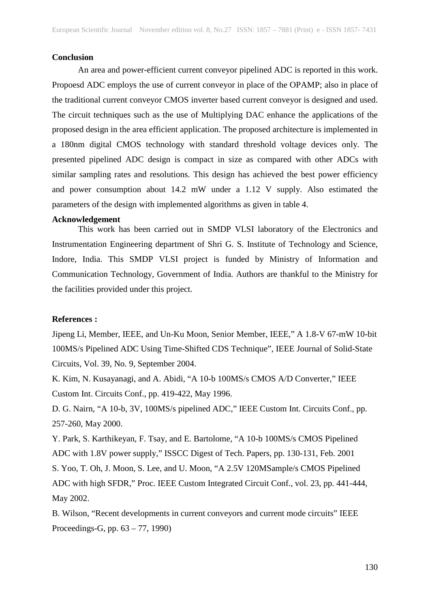#### **Conclusion**

An area and power-efficient current conveyor pipelined ADC is reported in this work. Propoesd ADC employs the use of current conveyor in place of the OPAMP; also in place of the traditional current conveyor CMOS inverter based current conveyor is designed and used. The circuit techniques such as the use of Multiplying DAC enhance the applications of the proposed design in the area efficient application. The proposed architecture is implemented in a 180nm digital CMOS technology with standard threshold voltage devices only. The presented pipelined ADC design is compact in size as compared with other ADCs with similar sampling rates and resolutions. This design has achieved the best power efficiency and power consumption about 14.2 mW under a 1.12 V supply. Also estimated the parameters of the design with implemented algorithms as given in table 4.

### **Acknowledgement**

This work has been carried out in SMDP VLSI laboratory of the Electronics and Instrumentation Engineering department of Shri G. S. Institute of Technology and Science, Indore, India. This SMDP VLSI project is funded by Ministry of Information and Communication Technology, Government of India. Authors are thankful to the Ministry for the facilities provided under this project.

#### **References :**

Jipeng Li, Member, IEEE, and Un-Ku Moon, Senior Member, IEEE," A 1.8-V 67-mW 10-bit 100MS/s Pipelined ADC Using Time-Shifted CDS Technique", IEEE Journal of Solid-State Circuits, Vol. 39, No. 9, September 2004.

K. Kim, N. Kusayanagi, and A. Abidi, "A 10-b 100MS/s CMOS A/D Converter," IEEE Custom Int. Circuits Conf., pp. 419-422, May 1996.

D. G. Nairn, "A 10-b, 3V, 100MS/s pipelined ADC," IEEE Custom Int. Circuits Conf., pp. 257-260, May 2000.

Y. Park, S. Karthikeyan, F. Tsay, and E. Bartolome, "A 10-b 100MS/s CMOS Pipelined ADC with 1.8V power supply," ISSCC Digest of Tech. Papers, pp. 130-131, Feb. 2001

S. Yoo, T. Oh, J. Moon, S. Lee, and U. Moon, "A 2.5V 120MSample/s CMOS Pipelined ADC with high SFDR," Proc. IEEE Custom Integrated Circuit Conf., vol. 23, pp. 441-444, May 2002.

B. Wilson, "Recent developments in current conveyors and current mode circuits" IEEE Proceedings-G, pp. 63 – 77, 1990)